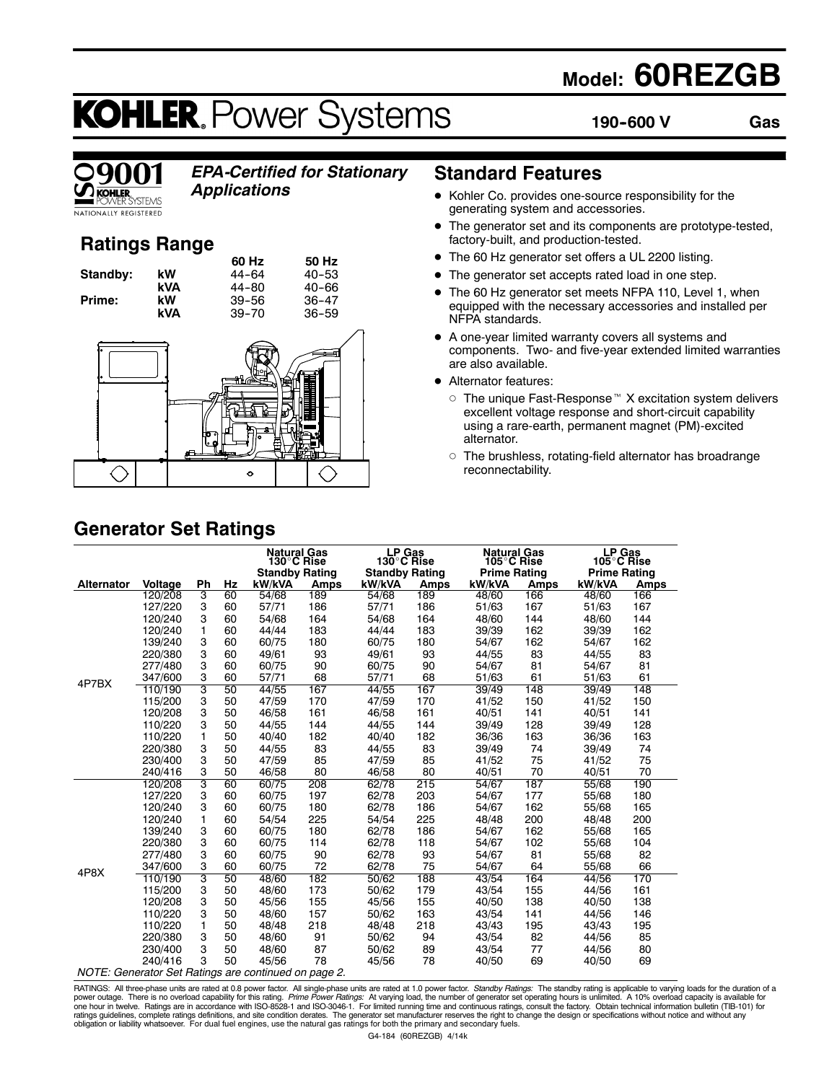## **Model: 60REZGB**

# **KOHLER. Power Systems**

**190--600 V Gas**



### *EPA-Certified for Stationary*

*Applications*

### **Ratings Range**

|          |     | 60 Hz     | 50 Hz     |
|----------|-----|-----------|-----------|
| Standby: | kW  | $44 - 64$ | $40 - 53$ |
|          | kVA | 44-80     | 40-66     |
| Prime:   | kW  | $39 - 56$ | $36 - 47$ |
|          | kVA | $39 - 70$ | $36 - 59$ |



### **Standard Features**

- Kohler Co. provides one-source responsibility for the generating system and accessories.
- The generator set and its components are prototype-tested, factory-built, and production-tested.
- The 60 Hz generator set offers a UL 2200 listing.
- The generator set accepts rated load in one step.
- The 60 Hz generator set meets NFPA 110, Level 1, when equipped with the necessary accessories and installed per NFPA standards.
- A one-year limited warranty covers all systems and components. Two- and five-year extended limited warranties are also available.
- Alternator features:
	- $\circ$  The unique Fast-Response<sup> $M$ </sup> X excitation system delivers excellent voltage response and short-circuit capability using a rare-earth, permanent magnet (PM)-excited alternator.
	- $\circ$  The brushless, rotating-field alternator has broadrange reconnectability.

## **Generator Set Ratings**

|                                                      |         |    |    | <b>Natural Gas</b><br>130°C Rise<br><b>Standby Rating</b> |      | LP Gas<br>130°C Rise<br><b>Standby Rating</b> |      | <b>Natural Gas</b><br>105°C Rise<br><b>Prime Rating</b> |             | <b>LP Gas</b><br>105°C Rise<br><b>Prime Rating</b> |             |
|------------------------------------------------------|---------|----|----|-----------------------------------------------------------|------|-----------------------------------------------|------|---------------------------------------------------------|-------------|----------------------------------------------------|-------------|
| <b>Alternator</b>                                    | Voltage | Ph | Hz | kW/kVA                                                    | Amps | kW/kVA                                        | Amps | kW/kVA                                                  | <b>Amps</b> | kW/kVA                                             | <b>Amps</b> |
|                                                      | 120/208 | 3  | 60 | 54/68                                                     | 189  | 54/68                                         | 189  | 48/60                                                   | 166         | 48/60                                              | 166         |
|                                                      | 127/220 | 3  | 60 | 57/71                                                     | 186  | 57/71                                         | 186  | 51/63                                                   | 167         | 51/63                                              | 167         |
|                                                      | 120/240 | 3  | 60 | 54/68                                                     | 164  | 54/68                                         | 164  | 48/60                                                   | 144         | 48/60                                              | 144         |
|                                                      | 120/240 | 1  | 60 | 44/44                                                     | 183  | 44/44                                         | 183  | 39/39                                                   | 162         | 39/39                                              | 162         |
|                                                      | 139/240 | 3  | 60 | 60/75                                                     | 180  | 60/75                                         | 180  | 54/67                                                   | 162         | 54/67                                              | 162         |
|                                                      | 220/380 | 3  | 60 | 49/61                                                     | 93   | 49/61                                         | 93   | 44/55                                                   | 83          | 44/55                                              | 83          |
|                                                      | 277/480 | 3  | 60 | 60/75                                                     | 90   | 60/75                                         | 90   | 54/67                                                   | 81          | 54/67                                              | 81          |
| 4P7BX                                                | 347/600 | 3  | 60 | 57/71                                                     | 68   | 57/71                                         | 68   | 51/63                                                   | 61          | 51/63                                              | 61          |
|                                                      | 110/190 | 3  | 50 | 44/55                                                     | 167  | 44/55                                         | 167  | 39/49                                                   | 148         | 39/49                                              | 148         |
|                                                      | 115/200 | 3  | 50 | 47/59                                                     | 170  | 47/59                                         | 170  | 41/52                                                   | 150         | 41/52                                              | 150         |
|                                                      | 120/208 | 3  | 50 | 46/58                                                     | 161  | 46/58                                         | 161  | 40/51                                                   | 141         | 40/51                                              | 141         |
|                                                      | 110/220 | 3  | 50 | 44/55                                                     | 144  | 44/55                                         | 144  | 39/49                                                   | 128         | 39/49                                              | 128         |
|                                                      | 110/220 | 1  | 50 | 40/40                                                     | 182  | 40/40                                         | 182  | 36/36                                                   | 163         | 36/36                                              | 163         |
|                                                      | 220/380 | 3  | 50 | 44/55                                                     | 83   | 44/55                                         | 83   | 39/49                                                   | 74          | 39/49                                              | 74          |
|                                                      | 230/400 | 3  | 50 | 47/59                                                     | 85   | 47/59                                         | 85   | 41/52                                                   | 75          | 41/52                                              | 75          |
|                                                      | 240/416 | 3  | 50 | 46/58                                                     | 80   | 46/58                                         | 80   | 40/51                                                   | 70          | 40/51                                              | 70          |
|                                                      | 120/208 | 3  | 60 | 60/75                                                     | 208  | 62/78                                         | 215  | 54/67                                                   | 187         | 55/68                                              | 190         |
|                                                      | 127/220 | 3  | 60 | 60/75                                                     | 197  | 62/78                                         | 203  | 54/67                                                   | 177         | 55/68                                              | 180         |
|                                                      | 120/240 | 3  | 60 | 60/75                                                     | 180  | 62/78                                         | 186  | 54/67                                                   | 162         | 55/68                                              | 165         |
|                                                      | 120/240 | 1  | 60 | 54/54                                                     | 225  | 54/54                                         | 225  | 48/48                                                   | 200         | 48/48                                              | 200         |
|                                                      | 139/240 | 3  | 60 | 60/75                                                     | 180  | 62/78                                         | 186  | 54/67                                                   | 162         | 55/68                                              | 165         |
|                                                      | 220/380 | 3  | 60 | 60/75                                                     | 114  | 62/78                                         | 118  | 54/67                                                   | 102         | 55/68                                              | 104         |
|                                                      | 277/480 | 3  | 60 | 60/75                                                     | 90   | 62/78                                         | 93   | 54/67                                                   | 81          | 55/68                                              | 82          |
| 4P8X                                                 | 347/600 | 3  | 60 | 60/75                                                     | 72   | 62/78                                         | 75   | 54/67                                                   | 64          | 55/68                                              | 66          |
|                                                      | 110/190 | 3  | 50 | 48/60                                                     | 182  | 50/62                                         | 188  | 43/54                                                   | 164         | 44/56                                              | 170         |
|                                                      | 115/200 | 3  | 50 | 48/60                                                     | 173  | 50/62                                         | 179  | 43/54                                                   | 155         | 44/56                                              | 161         |
|                                                      | 120/208 | 3  | 50 | 45/56                                                     | 155  | 45/56                                         | 155  | 40/50                                                   | 138         | 40/50                                              | 138         |
|                                                      | 110/220 | 3  | 50 | 48/60                                                     | 157  | 50/62                                         | 163  | 43/54                                                   | 141         | 44/56                                              | 146         |
|                                                      | 110/220 | 1  | 50 | 48/48                                                     | 218  | 48/48                                         | 218  | 43/43                                                   | 195         | 43/43                                              | 195         |
|                                                      | 220/380 | 3  | 50 | 48/60                                                     | 91   | 50/62                                         | 94   | 43/54                                                   | 82          | 44/56                                              | 85          |
|                                                      | 230/400 | 3  | 50 | 48/60                                                     | 87   | 50/62                                         | 89   | 43/54                                                   | 77          | 44/56                                              | 80          |
|                                                      | 240/416 | 3  | 50 | 45/56                                                     | 78   | 45/56                                         | 78   | 40/50                                                   | 69          | 40/50                                              | 69          |
| NOTE: Generator Set Ratings are continued on page 2. |         |    |    |                                                           |      |                                               |      |                                                         |             |                                                    |             |

RATINGS: All three-phase units are rated at 0.8 power factor. All single-phase units are rated at 1.0 power factor. *Standby Ratings:* The standby rating is applicable to varying loads for the duration of a<br>power outage. T ratings guidelines, complete ratings definitions, and site condition derates. The generator set manufacturer reserves the right to change the design or specifications without notice and without any<br>obligation or liability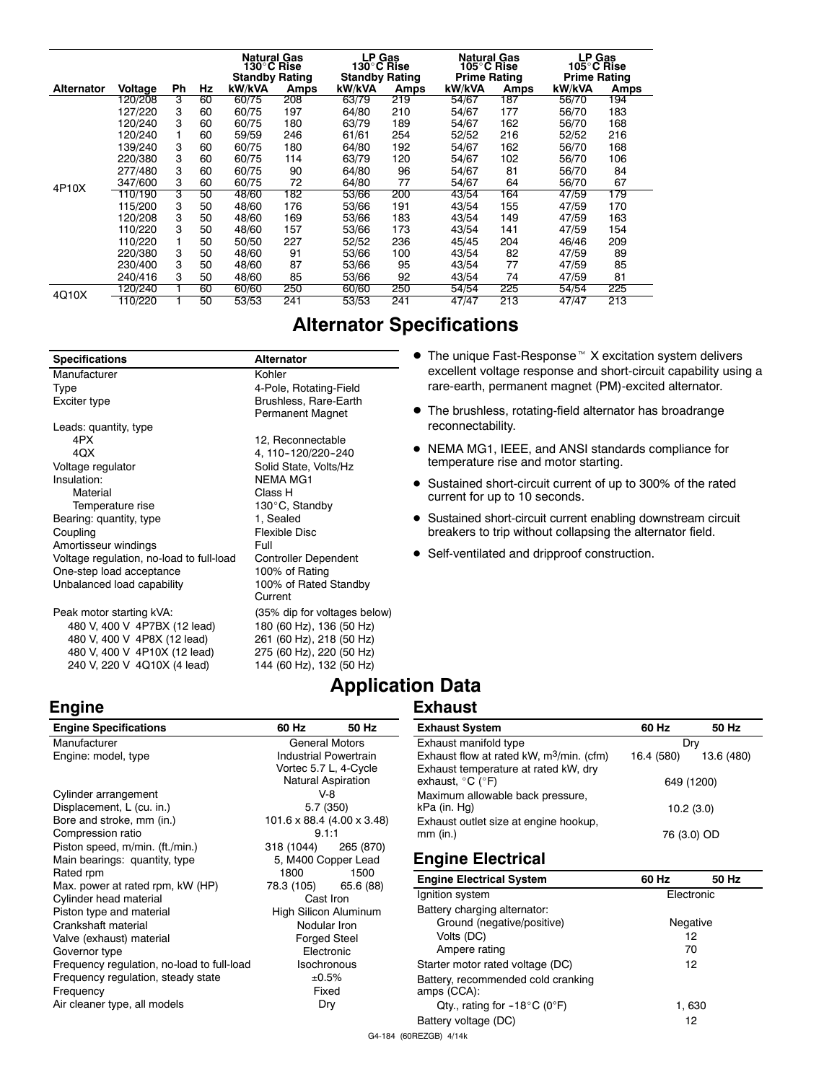|                   |         |    |    | <b>Natural Gas</b><br>130°C Rise |      | LP Gas<br>130°C Rise  |             | <b>Natural Gas</b><br>105°C Rise |      | <b>LP Gas</b><br>105°C Rise |      |
|-------------------|---------|----|----|----------------------------------|------|-----------------------|-------------|----------------------------------|------|-----------------------------|------|
|                   |         |    |    | <b>Standby Rating</b>            |      | <b>Standby Rating</b> |             | <b>Prime Rating</b>              |      | <b>Prime Rating</b>         |      |
| <b>Alternator</b> | Voltage | Ph | Hz | kW/kVA                           | Amps | kW/kVA                | <b>Amps</b> | kW/kVA                           | Amps | kW/kVA                      | Amps |
|                   | 120/208 | 3  | 60 | 60/75                            | 208  | 63/79                 | 219         | 54/67                            | 187  | 56/70                       | 194  |
|                   | 127/220 | 3  | 60 | 60/75                            | 197  | 64/80                 | 210         | 54/67                            | 177  | 56/70                       | 183  |
|                   | 120/240 | 3  | 60 | 60/75                            | 180  | 63/79                 | 189         | 54/67                            | 162  | 56/70                       | 168  |
|                   | 120/240 |    | 60 | 59/59                            | 246  | 61/61                 | 254         | 52/52                            | 216  | 52/52                       | 216  |
|                   | 139/240 | 3  | 60 | 60/75                            | 180  | 64/80                 | 192         | 54/67                            | 162  | 56/70                       | 168  |
|                   | 220/380 | 3  | 60 | 60/75                            | 114  | 63/79                 | 120         | 54/67                            | 102  | 56/70                       | 106  |
|                   | 277/480 | 3  | 60 | 60/75                            | 90   | 64/80                 | 96          | 54/67                            | 81   | 56/70                       | 84   |
|                   | 347/600 | 3  | 60 | 60/75                            | 72   | 64/80                 | 77          | 54/67                            | 64   | 56/70                       | 67   |
| 4P10X             | 110/190 | 3  | 50 | 48/60                            | 182  | 53/66                 | 200         | 43/54                            | 164  | 47/59                       | 179  |
|                   | 115/200 | 3  | 50 | 48/60                            | 176  | 53/66                 | 191         | 43/54                            | 155  | 47/59                       | 170  |
|                   | 120/208 | 3  | 50 | 48/60                            | 169  | 53/66                 | 183         | 43/54                            | 149  | 47/59                       | 163  |
|                   | 110/220 | 3  | 50 | 48/60                            | 157  | 53/66                 | 173         | 43/54                            | 141  | 47/59                       | 154  |
|                   | 110/220 | 1  | 50 | 50/50                            | 227  | 52/52                 | 236         | 45/45                            | 204  | 46/46                       | 209  |
|                   | 220/380 | 3  | 50 | 48/60                            | 91   | 53/66                 | 100         | 43/54                            | 82   | 47/59                       | 89   |
|                   | 230/400 | 3  | 50 | 48/60                            | 87   | 53/66                 | 95          | 43/54                            | 77   | 47/59                       | 85   |
|                   | 240/416 | 3  | 50 | 48/60                            | 85   | 53/66                 | 92          | 43/54                            | 74   | 47/59                       | 81   |
|                   | 120/240 |    | 60 | 60/60                            | 250  | 60/60                 | 250         | 54/54                            | 225  | 54/54                       | 225  |
| 4Q10X             | 110/220 |    | 50 | 53/53                            | 241  | 53/53                 | 241         | 47/47                            | 213  | 47/47                       | 213  |

| <b>Alternator</b>            |
|------------------------------|
| Kohler                       |
| 4-Pole, Rotating-Field       |
| Brushless, Rare-Earth        |
| Permanent Magnet             |
|                              |
| 12, Reconnectable            |
| 4, 110-120/220-240           |
| Solid State, Volts/Hz        |
| <b>NEMA MG1</b>              |
| Class H                      |
| 130°C, Standby               |
| 1, Sealed                    |
| <b>Flexible Disc</b>         |
| Full                         |
| <b>Controller Dependent</b>  |
| 100% of Rating               |
| 100% of Rated Standby        |
| Current                      |
| (35% dip for voltages below) |
| 180 (60 Hz), 136 (50 Hz)     |
| 261 (60 Hz), 218 (50 Hz)     |
| 275 (60 Hz), 220 (50 Hz)     |
| 144 (60 Hz), 132 (50 Hz)     |
|                              |

**Engine**

- $\bullet$  The unique Fast-Response<sup> $M$ </sup> X excitation system delivers excellent voltage response and short-circuit capability using a rare-earth, permanent magnet (PM)-excited alternator.
- $\bullet$  The brushless, rotating-field alternator has broadrange reconnectability.
- $\bullet$  NEMA MG1, IEEE, and ANSI standards compliance for temperature rise and motor starting.
- Sustained short-circuit current of up to 300% of the rated current for up to 10 seconds.
- Sustained short-circuit current enabling downstream circuit breakers to trip without collapsing the alternator field.
- Self-ventilated and dripproof construction.

### **Application Data**

### **Exhaust**

| <b>Engine Specifications</b>               | 60 Hz                                    | 50 Hz     | <b>Exhaust System</b>                                | 60 Hz       | 50 Hz      |
|--------------------------------------------|------------------------------------------|-----------|------------------------------------------------------|-------------|------------|
| Manufacturer                               | <b>General Motors</b>                    |           | Exhaust manifold type                                | Dry         |            |
| Engine: model, type                        | <b>Industrial Powertrain</b>             |           | Exhaust flow at rated kW, m <sup>3</sup> /min. (cfm) | 16.4 (580)  | 13.6 (480) |
|                                            | Vortec 5.7 L, 4-Cycle                    |           | Exhaust temperature at rated kW, dry                 |             |            |
|                                            | <b>Natural Aspiration</b>                |           | exhaust, $^{\circ}$ C ( $^{\circ}$ F)                | 649 (1200)  |            |
| Cylinder arrangement                       | $V-8$                                    |           | Maximum allowable back pressure,                     |             |            |
| Displacement, L (cu. in.)                  | 5.7 (350)                                |           | kPa (in. Hg)                                         | 10.2(3.0)   |            |
| Bore and stroke, mm (in.)                  | $101.6 \times 88.4$ (4.00 $\times$ 3.48) |           | Exhaust outlet size at engine hookup,                |             |            |
| Compression ratio<br>9.1:1                 |                                          |           | $mm$ (in.)                                           | 76 (3.0) OD |            |
| Piston speed, m/min. (ft./min.)            | 318 (1044)                               | 265 (870) |                                                      |             |            |
| Main bearings: quantity, type              | 5, M400 Copper Lead                      |           | <b>Engine Electrical</b>                             |             |            |
| Rated rpm                                  | 1800                                     | 1500      | <b>Engine Electrical System</b>                      | 60 Hz       | 50 Hz      |
| Max. power at rated rpm, kW (HP)           | 78.3 (105)<br>65.6 (88)                  |           |                                                      |             |            |
| Cylinder head material                     | Cast Iron                                |           | Ignition system                                      | Electronic  |            |
| Piston type and material                   | High Silicon Aluminum                    |           | Battery charging alternator:                         |             |            |
| Crankshaft material                        | Nodular Iron                             |           | Ground (negative/positive)                           | Negative    |            |
| Valve (exhaust) material                   | <b>Forged Steel</b>                      |           | Volts (DC)                                           | 12          |            |
| Governor type                              | Electronic                               |           | Ampere rating                                        | 70          |            |
| Frequency regulation, no-load to full-load | <b>Isochronous</b>                       |           | Starter motor rated voltage (DC)                     | 12          |            |
| Frequency regulation, steady state         | ±0.5%                                    |           | Battery, recommended cold cranking                   |             |            |
| Frequency                                  | Fixed                                    |           | amps (CCA):                                          |             |            |
| Air cleaner type, all models               | Dry                                      |           | Qty., rating for $-18^{\circ}$ C (0°F)               | 1,630       |            |
|                                            |                                          |           | Battery voltage (DC)                                 | 12          |            |

G4-184 (60REZGB) 4/14k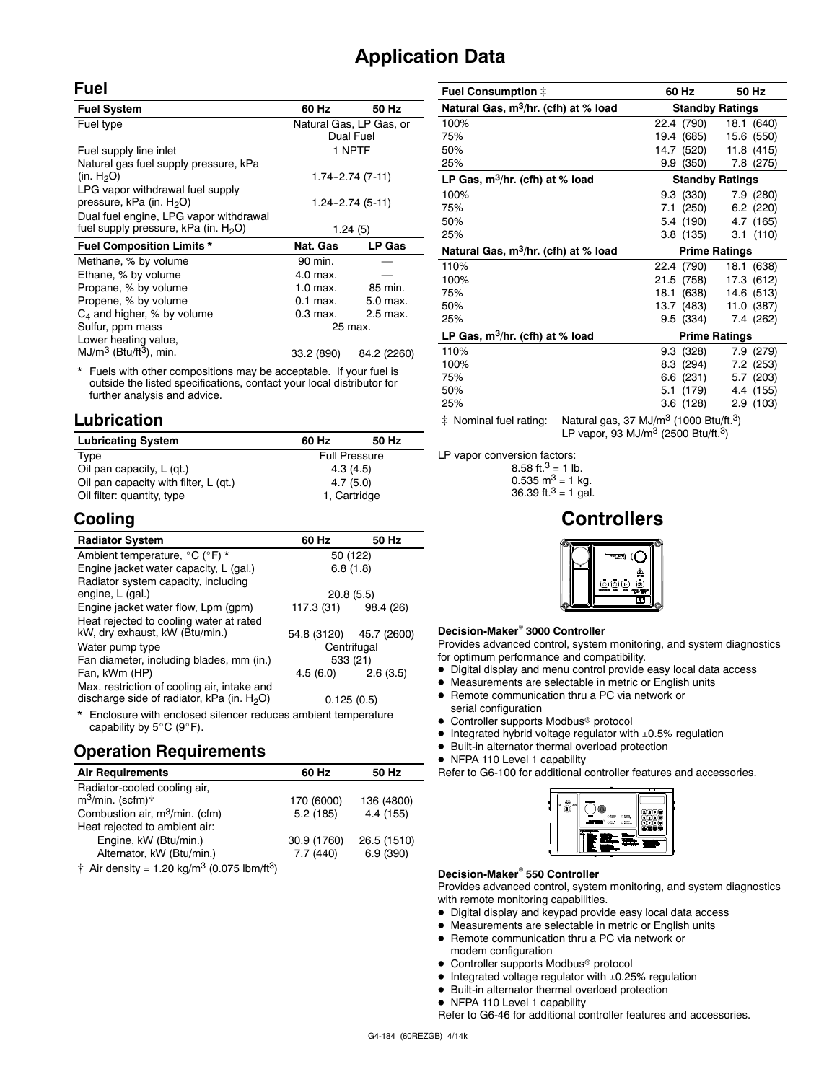### **Application Data**

### **Fuel**

| <b>Fuel System</b>                               | 60 Hz            | 50 Hz                   |  |
|--------------------------------------------------|------------------|-------------------------|--|
| Fuel type                                        |                  | Natural Gas, LP Gas, or |  |
|                                                  |                  | Dual Fuel               |  |
| Fuel supply line inlet                           |                  | 1 NPTF                  |  |
| Natural gas fuel supply pressure, kPa            |                  |                         |  |
| (in. H <sub>2</sub> O)                           |                  | 1.74-2.74 (7-11)        |  |
| LPG vapor withdrawal fuel supply                 |                  |                         |  |
| pressure, kPa (in. H <sub>2</sub> O)             | 1.24–2.74 (5-11) |                         |  |
| Dual fuel engine, LPG vapor withdrawal           |                  |                         |  |
| fuel supply pressure, kPa (in. H <sub>2</sub> O) | 1.24(5)          |                         |  |
| <b>Fuel Composition Limits *</b>                 | Nat. Gas         | LP Gas                  |  |
| Methane, % by volume                             | 90 min.          |                         |  |
| Ethane, % by volume                              | 4.0 max.         |                         |  |
| Propane, % by volume                             | 1.0 max.         | 85 min.                 |  |
| Propene, % by volume                             | $0.1$ max.       | 5.0 max.                |  |
| $C_4$ and higher, % by volume                    | 0.3 max.         | 2.5 max.                |  |
| Sulfur, ppm mass                                 | 25 max.          |                         |  |
| Lower heating value,                             |                  |                         |  |
| $MJ/m3$ (Btu/ft <sup>3</sup> ), min.             | 33.2 (890)       | 84.2 (2260)             |  |

\* Fuels with other compositions may be acceptable. If your fuel is outside the listed specifications, contact your local distributor for further analysis and advice.

### **Lubrication**

| <b>Lubricating System</b>             | 60 Hz                | 50 Hz |  |  |
|---------------------------------------|----------------------|-------|--|--|
| Type                                  | <b>Full Pressure</b> |       |  |  |
| Oil pan capacity, L (gt.)             | 4.3(4.5)             |       |  |  |
| Oil pan capacity with filter, L (qt.) | 4.7(5.0)             |       |  |  |
| Oil filter: quantity, type            | 1, Cartridge         |       |  |  |

### **Cooling**

| <b>Radiator System</b>                                                                                | 60 Hz                 | 50 Hz                   |  |  |
|-------------------------------------------------------------------------------------------------------|-----------------------|-------------------------|--|--|
| Ambient temperature, °C (°F) *                                                                        | 50 (122)              |                         |  |  |
| Engine jacket water capacity, L (gal.)                                                                | 6.8(1.8)              |                         |  |  |
| Radiator system capacity, including                                                                   |                       |                         |  |  |
| engine, L (gal.)                                                                                      | 20.8(5.5)             |                         |  |  |
| Engine jacket water flow, Lpm (gpm)                                                                   | 117.3 (31) 98.4 (26)  |                         |  |  |
| Heat rejected to cooling water at rated                                                               |                       |                         |  |  |
| kW, dry exhaust, kW (Btu/min.)                                                                        |                       | 54.8 (3120) 45.7 (2600) |  |  |
| Water pump type                                                                                       | Centrifugal           |                         |  |  |
| Fan diameter, including blades, mm (in.)                                                              | 533 (21)              |                         |  |  |
| Fan, kWm (HP)                                                                                         | $4.5(6.0)$ $2.6(3.5)$ |                         |  |  |
| Max. restriction of cooling air, intake and<br>discharge side of radiator, kPa (in. H <sub>2</sub> O) |                       | 0.125(0.5)              |  |  |
|                                                                                                       |                       |                         |  |  |

Enclosure with enclosed silencer reduces ambient temperature capability by  $5^{\circ}$ C (9 $^{\circ}$ F).

### **Operation Requirements**

| <b>Air Requirements</b>                                                     | 60 Hz       | 50 Hz       |  |
|-----------------------------------------------------------------------------|-------------|-------------|--|
| Radiator-cooled cooling air,                                                |             |             |  |
| $m^3$ /min. (scfm) $\dagger$                                                | 170 (6000)  | 136 (4800)  |  |
| Combustion air, m <sup>3</sup> /min. (cfm)                                  | 5.2(185)    | 4.4(155)    |  |
| Heat rejected to ambient air:                                               |             |             |  |
| Engine, kW (Btu/min.)                                                       | 30.9 (1760) | 26.5 (1510) |  |
| Alternator, kW (Btu/min.)                                                   | 7.7(440)    | 6.9(390)    |  |
| $\dagger$ Air density = 1.20 kg/m <sup>3</sup> (0.075 lbm/ft <sup>3</sup> ) |             |             |  |

| Fuel Consumption $\ddagger$                      |                                                                |                        | 60 Hz      | 50 Hz       |  |
|--------------------------------------------------|----------------------------------------------------------------|------------------------|------------|-------------|--|
| Natural Gas, m <sup>3</sup> /hr. (cfh) at % load |                                                                | <b>Standby Ratings</b> |            |             |  |
| 100%                                             |                                                                |                        | 22.4 (790) | 18.1 (640)  |  |
| 75%                                              |                                                                |                        | 19.4 (685) | 15.6 (550)  |  |
| 50%                                              |                                                                |                        | 14.7 (520) | 11.8(415)   |  |
| 25%                                              |                                                                |                        | 9.9(350)   | 7.8 (275)   |  |
| LP Gas, $m^3/hr$ . (cfh) at % load               |                                                                | <b>Standby Ratings</b> |            |             |  |
| 100%                                             |                                                                |                        | 9.3(330)   | 7.9 (280)   |  |
| 75%                                              |                                                                |                        | 7.1 (250)  | $6.2$ (220) |  |
| 50%                                              |                                                                |                        | 5.4 (190)  | 4.7 (165)   |  |
| 25%                                              |                                                                |                        | 3.8(135)   | 3.1(110)    |  |
| Natural Gas, m <sup>3</sup> /hr. (cfh) at % load |                                                                | <b>Prime Ratings</b>   |            |             |  |
| 110%                                             |                                                                |                        | 22.4 (790) | 18.1 (638)  |  |
| 100%                                             |                                                                |                        | 21.5 (758) | 17.3 (612)  |  |
| 75%                                              |                                                                |                        | 18.1 (638) | 14.6 (513)  |  |
| 50%                                              |                                                                |                        | 13.7 (483) | 11.0 (387)  |  |
| 25%                                              |                                                                |                        | 9.5 (334)  | 7.4 (262)   |  |
| LP Gas, $m^3$ /hr. (cfh) at % load               |                                                                | Prime Ratings          |            |             |  |
| 110%                                             |                                                                |                        | 9.3 (328)  | 7.9 (279)   |  |
| 100%                                             |                                                                |                        | 8.3 (294)  | $7.2$ (253) |  |
| 75%                                              |                                                                |                        | 6.6 (231)  | 5.7 (203)   |  |
| 50%                                              |                                                                |                        | 5.1 (179)  | 4.4 (155)   |  |
| 25%                                              |                                                                |                        | 3.6(128)   | 2.9(103)    |  |
| * Nominal fuel rating:                           | Natural gas, 37 MJ/m <sup>3</sup> (1000 Btu/ft. <sup>3</sup> ) |                        |            |             |  |

LP vapor, 93 MJ/m<sup>3</sup> (2500 Btu/ft.<sup>3</sup>)

LP vapor conversion factors:

8.58 ft.<sup>3</sup> = 1 lb.  $0.535 \text{ m}^3 = 1 \text{ kg}.$ 36.39 ft.<sup>3</sup> = 1 gal.

### **Controllers**



### **Decision-Maker<sup>®</sup> 3000 Controller**

Provides advanced control, system monitoring, and system diagnostics for optimum performance and compatibility.

- $\bullet$  Digital display and menu control provide easy local data access
- $\bullet$  Measurements are selectable in metric or English units
- Remote communication thru a PC via network or serial configuration
- Controller supports Modbus<sup>®</sup> protocol
- $\bullet$  Integrated hybrid voltage regulator with  $\pm 0.5\%$  regulation
- $\bullet$  Built-in alternator thermal overload protection
- NFPA 110 Level 1 capability

Refer to G6-100 for additional controller features and accessories.



#### **Decision-Maker<sup>®</sup> 550 Controller**

Provides advanced control, system monitoring, and system diagnostics with remote monitoring capabilities.

- Digital display and keypad provide easy local data access
- $\bullet$  Measurements are selectable in metric or English units
- Remote communication thru a PC via network or
- modem configuration  $\bullet$  Controller supports Modbus<sup>®</sup> protocol
- $\bullet$  Integrated voltage regulator with  $\pm 0.25\%$  regulation
- $\bullet$  Built-in alternator thermal overload protection
- NFPA 110 Level 1 capability

Refer to G6-46 for additional controller features and accessories.